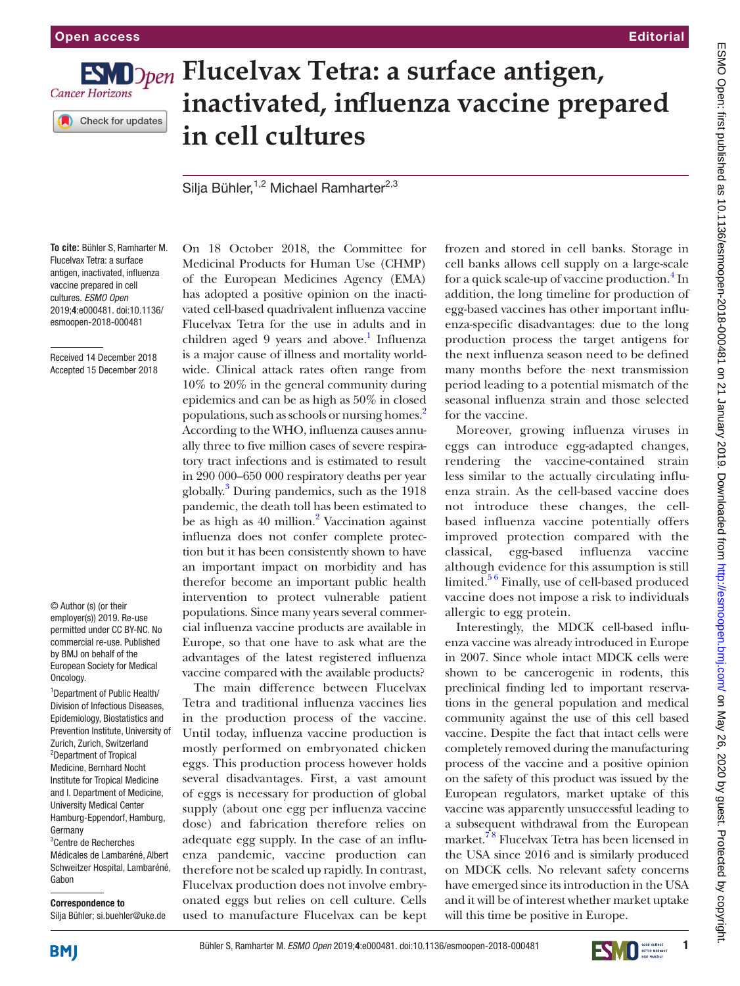

## **FSM** Dpen Flucelvax Tetra: a surface antigen, **inactivated, influenza vaccine prepared in cell cultures**

Silja Bühler,<sup>1,2</sup> Michael Ramharter<sup>2,3</sup>

**To cite:** Bühler S, Ramharter M. Flucelvax Tetra: a surface antigen, inactivated, influenza vaccine prepared in cell cultures. *ESMO Open* 2019;4:e000481. doi:10.1136/ esmoopen-2018-000481

Received 14 December 2018 Accepted 15 December 2018

© Author (s) (or their employer(s)) 2019. Re-use permitted under CC BY-NC. No commercial re-use. Published by BMJ on behalf of the European Society for Medical Oncology.

<sup>1</sup> Department of Public Health/ Division of Infectious Diseases, Epidemiology, Biostatistics and Prevention Institute, University of Zurich, Zurich, Switzerland <sup>2</sup>Department of Tropical Medicine, Bernhard Nocht Institute for Tropical Medicine and I. Department of Medicine, University Medical Center Hamburg-Eppendorf, Hamburg, Germany

3 Centre de Recherches Médicales de Lambaréné, Albert Schweitzer Hospital, Lambaréné, Gabon

Correspondence to

Silja Bühler; si.buehler@uke.de

On 18 October 2018, the Committee for Medicinal Products for Human Use (CHMP) of the European Medicines Agency (EMA) has adopted a positive opinion on the inactivated cell-based quadrivalent influenza vaccine Flucelvax Tetra for the use in adults and in children aged 9 years and above.<sup>1</sup> Influenza is a major cause of illness and mortality worldwide. Clinical attack rates often range from 10% to 20% in the general community during epidemics and can be as high as 50% in closed populations, such as schools or nursing homes[.2](#page-1-1) According to the WHO, influenza causes annually three to five million cases of severe respiratory tract infections and is estimated to result in 290 000–650 000 respiratory deaths per year globally.<sup>3</sup> During pandemics, such as the 1918 pandemic, the death toll has been estimated to be as high as 40 million.<sup>2</sup> Vaccination against influenza does not confer complete protection but it has been consistently shown to have an important impact on morbidity and has therefor become an important public health intervention to protect vulnerable patient populations. Since many years several commercial influenza vaccine products are available in Europe, so that one have to ask what are the advantages of the latest registered influenza vaccine compared with the available products?

The main difference between Flucelvax Tetra and traditional influenza vaccines lies in the production process of the vaccine. Until today, influenza vaccine production is mostly performed on embryonated chicken eggs. This production process however holds several disadvantages. First, a vast amount of eggs is necessary for production of global supply (about one egg per influenza vaccine dose) and fabrication therefore relies on adequate egg supply. In the case of an influenza pandemic, vaccine production can therefore not be scaled up rapidly. In contrast, Flucelvax production does not involve embryonated eggs but relies on cell culture. Cells used to manufacture Flucelvax can be kept

frozen and stored in cell banks. Storage in cell banks allows cell supply on a large-scale for a quick scale-up of vaccine production.<sup>[4](#page-1-3)</sup> In addition, the long timeline for production of egg-based vaccines has other important influenza-specific disadvantages: due to the long production process the target antigens for the next influenza season need to be defined many months before the next transmission period leading to a potential mismatch of the seasonal influenza strain and those selected for the vaccine.

Moreover, growing influenza viruses in eggs can introduce egg-adapted changes, rendering the vaccine-contained strain less similar to the actually circulating influenza strain. As the cell-based vaccine does not introduce these changes, the cellbased influenza vaccine potentially offers improved protection compared with the classical, egg-based influenza vaccine although evidence for this assumption is still limited.<sup>56</sup> Finally, use of cell-based produced vaccine does not impose a risk to individuals allergic to egg protein.

Interestingly, the MDCK cell-based influenza vaccine was already introduced in Europe in 2007. Since whole intact MDCK cells were shown to be cancerogenic in rodents, this preclinical finding led to important reservations in the general population and medical community against the use of this cell based vaccine. Despite the fact that intact cells were completely removed during the manufacturing process of the vaccine and a positive opinion on the safety of this product was issued by the European regulators, market uptake of this vaccine was apparently unsuccessful leading to a subsequent withdrawal from the European market.<sup>78</sup> Flucelvax Tetra has been licensed in the USA since 2016 and is similarly produced on MDCK cells. No relevant safety concerns have emerged since its introduction in the USA and it will be of interest whether market uptake will this time be positive in Europe.